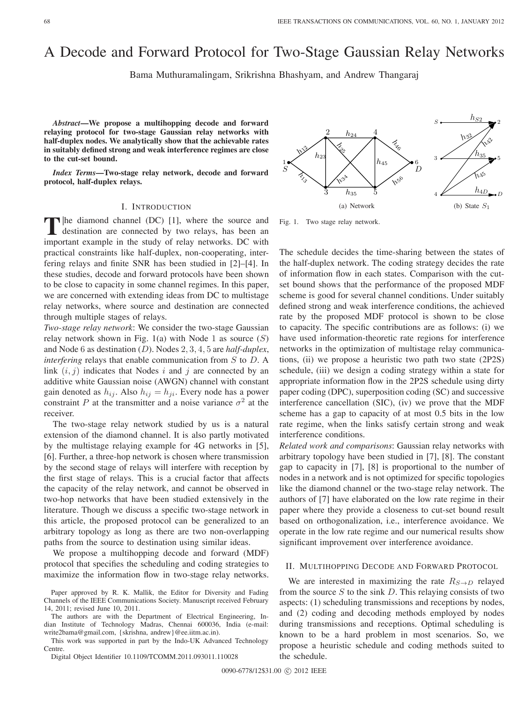# A Decode and Forward Protocol for Two-Stage Gaussian Relay Networks

Bama Muthuramalingam, Srikrishna Bhashyam, and Andrew Thangaraj

*Abstract***—We propose a multihopping decode and forward relaying protocol for two-stage Gaussian relay networks with half-duplex nodes. We analytically show that the achievable rates in suitably defined strong and weak interference regimes are close to the cut-set bound.**

*Index Terms***—Two-stage relay network, decode and forward protocol, half-duplex relays.**

# I. INTRODUCTION

**T**|he diamond channel (DC) [1], where the source and destination are connected by two relays, has been an important example in the study of relay networks. DC with practical constraints like half-duplex, non-cooperating, interfering relays and finite SNR has been studied in [2]–[4]. In these studies, decode and forward protocols have been shown to be close to capacity in some channel regimes. In this paper, we are concerned with extending ideas from DC to multistage relay networks, where source and destination are connected through multiple stages of relays.

*Two-stage relay network*: We consider the two-stage Gaussian relay network shown in Fig. 1(a) with Node 1 as source  $(S)$ and Node 6 as destination  $(D)$ . Nodes 2, 3, 4, 5 are *half-duplex*, *interfering* relays that enable communication from  $S$  to  $D$ . A link  $(i, j)$  indicates that Nodes i and j are connected by an additive white Gaussian noise (AWGN) channel with constant gain denoted as  $h_{ij}$ . Also  $h_{ij} = h_{ji}$ . Every node has a power constraint P at the transmitter and a noise variance  $\sigma^2$  at the receiver.

The two-stage relay network studied by us is a natural extension of the diamond channel. It is also partly motivated by the multistage relaying example for 4G networks in [5], [6]. Further, a three-hop network is chosen where transmission by the second stage of relays will interfere with reception by the first stage of relays. This is a crucial factor that affects the capacity of the relay network, and cannot be observed in two-hop networks that have been studied extensively in the literature. Though we discuss a specific two-stage network in this article, the proposed protocol can be generalized to an arbitrary topology as long as there are two non-overlapping paths from the source to destination using similar ideas.

We propose a multihopping decode and forward (MDF) protocol that specifies the scheduling and coding strategies to maximize the information flow in two-stage relay networks.

The authors are with the Department of Electrical Engineering, Indian Institute of Technology Madras, Chennai 600036, India (e-mail: write2bama@gmail.com, {skrishna, andrew}@ee.iitm.ac.in).

This work was supported in part by the Indo-UK Advanced Technology Centre.

Digital Object Identifier 10.1109/TCOMM.2011.093011.110028

3 1 2  $h_{24}$  4 5 6 rv Zz,  $h_{2}$  $h_{23}$  $h_{35}$  $\sqrt{3}$  $h_{45}$ る<br>こ<sub>その</sub> **h**<sub>56</sub> Ez  $S \searrow$   $\rightarrow$   $\rightarrow$   $D$ (a) Network  $\boldsymbol{S}$ 3 4 2 5  $\boldsymbol{D}$ სპ  $h_{S2}$  $\left\langle \mathrm{v}_{\mathrm{r}}\right\rangle$  $h_{35}$ ℎ45  $h_{4\underline{L}}$ (b) State  $S_1$ 

Fig. 1. Two stage relay network.

The schedule decides the time-sharing between the states of the half-duplex network. The coding strategy decides the rate of information flow in each states. Comparison with the cutset bound shows that the performance of the proposed MDF scheme is good for several channel conditions. Under suitably defined strong and weak interference conditions, the achieved rate by the proposed MDF protocol is shown to be close to capacity. The specific contributions are as follows: (i) we have used information-theoretic rate regions for interference networks in the optimization of multistage relay communications, (ii) we propose a heuristic two path two state (2P2S) schedule, (iii) we design a coding strategy within a state for appropriate information flow in the 2P2S schedule using dirty paper coding (DPC), superposition coding (SC) and successive interference cancellation (SIC), (iv) we prove that the MDF scheme has a gap to capacity of at most 0.5 bits in the low rate regime, when the links satisfy certain strong and weak interference conditions.

*Related work and comparisons*: Gaussian relay networks with arbitrary topology have been studied in [7], [8]. The constant gap to capacity in [7], [8] is proportional to the number of nodes in a network and is not optimized for specific topologies like the diamond channel or the two-stage relay network. The authors of [7] have elaborated on the low rate regime in their paper where they provide a closeness to cut-set bound result based on orthogonalization, i.e., interference avoidance. We operate in the low rate regime and our numerical results show significant improvement over interference avoidance.

## II. MULTIHOPPING DECODE AND FORWARD PROTOCOL

We are interested in maximizing the rate  $R_{S\rightarrow D}$  relayed from the source  $S$  to the sink  $D$ . This relaying consists of two aspects: (1) scheduling transmissions and receptions by nodes, and (2) coding and decoding methods employed by nodes during transmissions and receptions. Optimal scheduling is known to be a hard problem in most scenarios. So, we propose a heuristic schedule and coding methods suited to the schedule.

Paper approved by R. K. Mallik, the Editor for Diversity and Fading Channels of the IEEE Communications Society. Manuscript received February 14, 2011; revised June 10, 2011.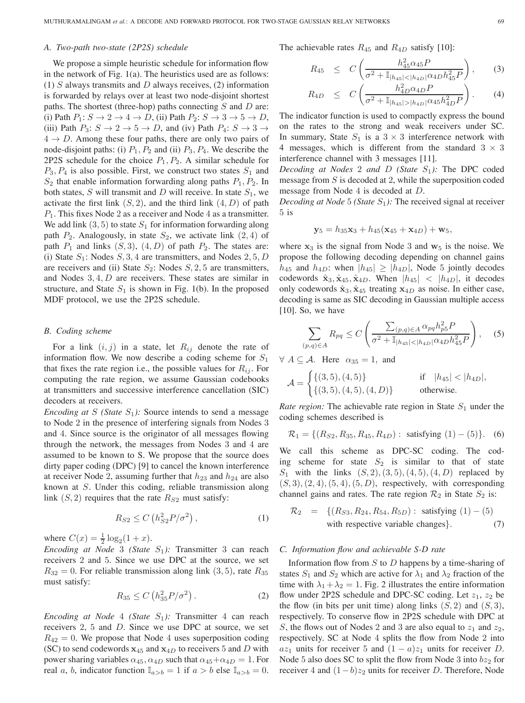## *A. Two-path two-state (2P2S) schedule*

We propose a simple heuristic schedule for information flow in the network of Fig. 1(a). The heuristics used are as follows: (1)  $S$  always transmits and  $D$  always receives, (2) information is forwarded by relays over at least two node-disjoint shortest paths. The shortest (three-hop) paths connecting  $S$  and  $D$  are: (i) Path  $P_1: S \to 2 \to 4 \to D$ , (ii) Path  $P_2: S \to 3 \to 5 \to D$ , (iii) Path  $P_3: S \to 2 \to 5 \to D$ , and (iv) Path  $P_4: S \to 3 \to$  $4 \rightarrow D$ . Among these four paths, there are only two pairs of node-disjoint paths: (i)  $P_1$ ,  $P_2$  and (ii)  $P_3$ ,  $P_4$ . We describe the 2P2S schedule for the choice  $P_1, P_2$ . A similar schedule for  $P_3, P_4$  is also possible. First, we construct two states  $S_1$  and  $S_2$  that enable information forwarding along paths  $P_1, P_2$ . In both states,  $S$  will transmit and  $D$  will receive. In state  $S_1$ , we activate the first link  $(S, 2)$ , and the third link  $(4, D)$  of path  $P_1$ . This fixes Node 2 as a receiver and Node 4 as a transmitter. We add link  $(3, 5)$  to state  $S_1$  for information forwarding along path  $P_2$ . Analogously, in state  $S_2$ , we activate link  $(2, 4)$  of path  $P_1$  and links  $(S, 3)$ ,  $(4, D)$  of path  $P_2$ . The states are: (i) State  $S_1$ : Nodes  $S$ , 3, 4 are transmitters, and Nodes 2, 5, D are receivers and (ii) State  $S_2$ : Nodes  $S$ , 2, 5 are transmitters, and Nodes  $3, 4, D$  are receivers. These states are similar in structure, and State  $S_1$  is shown in Fig. 1(b). In the proposed MDF protocol, we use the 2P2S schedule.

## *B. Coding scheme*

For a link  $(i, j)$  in a state, let  $R_{ij}$  denote the rate of information flow. We now describe a coding scheme for  $S_1$ that fixes the rate region i.e., the possible values for  $R_{ij}$ . For computing the rate region, we assume Gaussian codebooks at transmitters and successive interference cancellation (SIC) decoders at receivers.

*Encoding at S* (*State*  $S_1$ *):* Source intends to send a message to Node 2 in the presence of interfering signals from Nodes 3 and 4. Since source is the originator of all messages flowing through the network, the messages from Nodes 3 and 4 are assumed to be known to S. We propose that the source does dirty paper coding (DPC) [9] to cancel the known interference at receiver Node 2, assuming further that  $h_{23}$  and  $h_{24}$  are also known at  $S$ . Under this coding, reliable transmission along link  $(S, 2)$  requires that the rate  $R_{S2}$  must satisfy:

$$
R_{S2} \le C\left(h_{S2}^2 P/\sigma^2\right),\tag{1}
$$

where  $C(x) = \frac{1}{2} \log_2(1 + x)$ .

*Encoding at Node* 3 *(State S<sub>1</sub>):* Transmitter 3 can reach receivers 2 and 5. Since we use DPC at the source, we set  $R_{32} = 0$ . For reliable transmission along link (3, 5), rate  $R_{35}$ must satisfy:

$$
R_{35} \leq C \left( h_{35}^2 P / \sigma^2 \right). \tag{2}
$$

*Encoding at Node* 4 *(State S<sub>1</sub>):* Transmitter 4 can reach receivers  $2, 5$  and  $D$ . Since we use DPC at source, we set  $R_{42} = 0$ . We propose that Node 4 uses superposition coding (SC) to send codewords  $x_{45}$  and  $x_{4D}$  to receivers 5 and D with power sharing variables  $\alpha_{45}$ ,  $\alpha_{4D}$  such that  $\alpha_{45}+\alpha_{4D} = 1$ . For real a, b, indicator function  $\mathbb{I}_{a>b} = 1$  if  $a > b$  else  $\mathbb{I}_{a>b} = 0$ . The achievable rates  $R_{45}$  and  $R_{4D}$  satisfy [10]:

$$
R_{45} \leq C \left( \frac{h_{45}^2 \alpha_{45} P}{\sigma^2 + \mathbb{I}_{|h_{45}| < |h_{4D}|} \alpha_{4D} h_{45}^2 P} \right), \qquad (3)
$$

$$
R_{4D} \leq C \left( \frac{h_{4D}^2 \alpha_{4D} P}{\sigma^2 + \mathbb{I}_{|h_{45}| > |h_{4D}|} \alpha_{45} h_{4D}^2 P} \right). \tag{4}
$$

The indicator function is used to compactly express the bound on the rates to the strong and weak receivers under SC. In summary, State  $S_1$  is a  $3 \times 3$  interference network with 4 messages, which is different from the standard  $3 \times 3$ interference channel with 3 messages [11].

*Decoding at Nodes* 2 *and D* (*State*  $S_1$ *):* The DPC coded message from  $S$  is decoded at 2, while the superposition coded message from Node  $4$  is decoded at  $D$ .

*Decoding at Node* 5 *(State*  $S_1$ *):* The received signal at receiver 5 is

$$
y_5 = h_{35}x_3 + h_{45}(x_{45} + x_{4D}) + w_5,
$$

where  $x_3$  is the signal from Node 3 and  $w_5$  is the noise. We propose the following decoding depending on channel gains  $h_{45}$  and  $h_{4D}$ : when  $|h_{45}| \geq |h_{4D}|$ , Node 5 jointly decodes codewords  $\hat{\mathbf{x}}_3, \hat{\mathbf{x}}_{45}, \hat{\mathbf{x}}_{4D}$ . When  $|h_{45}| < |h_{4D}|$ , it decodes only codewords  $\hat{\mathbf{x}}_3$ ,  $\hat{\mathbf{x}}_{45}$  treating  $\mathbf{x}_{4D}$  as noise. In either case, decoding is same as SIC decoding in Gaussian multiple access  $[10]$ . So, we have

$$
\sum_{(p,q)\in A} R_{pq} \le C \left( \frac{\sum_{(p,q)\in A} \alpha_{pq} h_{p5}^2 P}{\sigma^2 + \mathbb{I}_{|h_{45}| < |h_{4D}|} \alpha_{4D} h_{45}^2 P} \right), \quad (5)
$$

 $\forall A \subseteq \mathcal{A}$ . Here  $\alpha_{35} = 1$ , and

$$
\mathcal{A} = \begin{cases} \{(3,5), (4,5)\} & \text{if } |h_{45}| < |h_{4D}|, \\ \{(3,5), (4,5), (4,D)\} & \text{otherwise.} \end{cases}
$$

*Rate region:* The achievable rate region in State  $S_1$  under the coding schemes described is

$$
\mathcal{R}_1 = \{ (R_{S2}, R_{35}, R_{45}, R_{4D}) : \text{ satisfying } (1) - (5) \}. \tag{6}
$$

We call this scheme as DPC-SC coding. The coding scheme for state  $S_2$  is similar to that of state  $S_1$  with the links  $(S, 2), (3, 5), (4, 5), (4, D)$  replaced by  $(S, 3), (2, 4), (5, 4), (5, D)$ , respectively, with corresponding channel gains and rates. The rate region  $\mathcal{R}_2$  in State  $S_2$  is:

$$
\mathcal{R}_2 = \{ (R_{S3}, R_{24}, R_{54}, R_{5D}) : \text{ satisfying } (1) - (5) \text{ with respective variable changes} \}.
$$
 (7)

## *C. Information flow and achievable S-D rate*

Information flow from  $S$  to  $D$  happens by a time-sharing of states  $S_1$  and  $S_2$  which are active for  $\lambda_1$  and  $\lambda_2$  fraction of the time with  $\lambda_1 + \lambda_2 = 1$ . Fig. 2 illustrates the entire information flow under 2P2S schedule and DPC-SC coding. Let  $z_1$ ,  $z_2$  be the flow (in bits per unit time) along links  $(S, 2)$  and  $(S, 3)$ , respectively. To conserve flow in 2P2S schedule with DPC at S, the flows out of Nodes 2 and 3 are also equal to  $z_1$  and  $z_2$ , respectively. SC at Node 4 splits the flow from Node 2 into  $az_1$  units for receiver 5 and  $(1 - a)z_1$  units for receiver D. Node 5 also does SC to split the flow from Node 3 into  $bz_2$  for receiver 4 and  $(1-b)z_2$  units for receiver D. Therefore, Node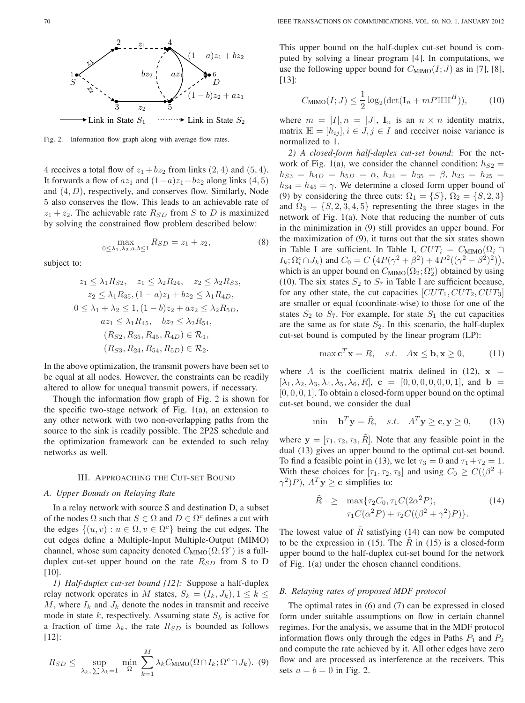

Fig. 2. Information flow graph along with average flow rates.

4 receives a total flow of  $z_1 + bz_2$  from links (2, 4) and (5, 4). It forwards a flow of  $az_1$  and  $(1 - a)z_1 + bz_2$  along links  $(4, 5)$ and  $(4, D)$ , respectively, and conserves flow. Similarly, Node 5 also conserves the flow. This leads to an achievable rate of  $z_1 + z_2$ . The achievable rate  $R_{SD}$  from S to D is maximized by solving the constrained flow problem described below:

$$
\max_{0 \le \lambda_1, \lambda_2, a, b \le 1} R_{SD} = z_1 + z_2,\tag{8}
$$

subject to:

$$
z_1 \le \lambda_1 R_{S2}, \quad z_1 \le \lambda_2 R_{24}, \quad z_2 \le \lambda_2 R_{S3},
$$
  
\n
$$
z_2 \le \lambda_1 R_{35}, (1 - a)z_1 + bz_2 \le \lambda_1 R_{4D},
$$
  
\n
$$
0 \le \lambda_1 + \lambda_2 \le 1, (1 - b)z_2 + az_2 \le \lambda_2 R_{5D},
$$
  
\n
$$
az_1 \le \lambda_1 R_{45}, \quad bz_2 \le \lambda_2 R_{54},
$$
  
\n
$$
(R_{S2}, R_{35}, R_{45}, R_{4D}) \in \mathcal{R}_1,
$$
  
\n
$$
(R_{S3}, R_{24}, R_{54}, R_{5D}) \in \mathcal{R}_2.
$$

In the above optimization, the transmit powers have been set to be equal at all nodes. However, the constraints can be readily altered to allow for unequal transmit powers, if necessary.

Though the information flow graph of Fig. 2 is shown for the specific two-stage network of Fig. 1(a), an extension to any other network with two non-overlapping paths from the source to the sink is readily possible. The 2P2S schedule and the optimization framework can be extended to such relay networks as well.

#### III. APPROACHING THE CUT-SET BOUND

### *A. Upper Bounds on Relaying Rate*

In a relay network with source S and destination D, a subset of the nodes  $\Omega$  such that  $S \in \Omega$  and  $D \in \Omega^c$  defines a cut with the edges  $\{(u, v) : u \in \Omega, v \in \Omega^c\}$  being the cut edges. The cut edges define a Multiple-Input Multiple-Output (MIMO) channel, whose sum capacity denoted  $C_{\text{MIMO}}(\Omega; \Omega^c)$  is a fullduplex cut-set upper bound on the rate  $R_{SD}$  from S to D [10].

*1) Half-duplex cut-set bound [12]:* Suppose a half-duplex relay network operates in M states,  $S_k = (I_k, J_k), 1 \leq k \leq$ M, where  $I_k$  and  $J_k$  denote the nodes in transmit and receive mode in state k, respectively. Assuming state  $S_k$  is active for a fraction of time  $\lambda_k$ , the rate  $R_{SD}$  is bounded as follows [12]:

$$
R_{SD} \leq \sup_{\lambda_k, \sum \lambda_k = 1} \min_{\Omega} \sum_{k=1}^{M} \lambda_k C_{\text{MIMO}}(\Omega \cap I_k; \Omega^c \cap J_k). \tag{9}
$$

This upper bound on the half-duplex cut-set bound is computed by solving a linear program [4]. In computations, we use the following upper bound for  $C_{\text{MIMO}}(I; J)$  as in [7], [8], [13]:

$$
C_{\text{MIMO}}(I;J) \le \frac{1}{2}\log_2(\det(\mathbf{I}_n + mP \mathbb{H} \mathbb{H}^H)),\tag{10}
$$

where  $m = |I|, n = |J|, I_n$  is an  $n \times n$  identity matrix, matrix  $\mathbb{H} = [h_{ij}], i \in J, j \in I$  and receiver noise variance is normalized to 1.

*2) A closed-form half-duplex cut-set bound:* For the network of Fig. 1(a), we consider the channel condition:  $h_{S2}$  =  $h_{S3} = h_{4D} = h_{5D} = \alpha, h_{24} = h_{35} = \beta, h_{23} = h_{25} =$  $h_{34} = h_{45} = \gamma$ . We determine a closed form upper bound of (9) by considering the three cuts:  $\Omega_1 = \{S\}, \Omega_2 = \{S, 2, 3\}$ and  $\Omega_3 = \{S, 2, 3, 4, 5\}$  representing the three stages in the network of Fig. 1(a). Note that reducing the number of cuts in the minimization in (9) still provides an upper bound. For the maximization of (9), it turns out that the six states shown in Table I are sufficient. In Table I,  $CUT_i = C_{\text{MIMO}}(\Omega_i \cap$  $I_k; \Omega_i^c \cap J_k$  and  $C_0 = C \left( 4P(\gamma^2 + \beta^2) + 4P^2((\gamma^2 - \beta^2)^2) \right),$ which is an upper bound on  $C_{\text{MIMO}}(\Omega_2; \Omega_2^c)$  obtained by using (10). The six states  $S_2$  to  $S_7$  in Table I are sufficient because, for any other state, the cut capacities  $[CUT_1, CUT_2, CUT_3]$ are smaller or equal (coordinate-wise) to those for one of the states  $S_2$  to  $S_7$ . For example, for state  $S_1$  the cut capacities are the same as for state  $S_2$ . In this scenario, the half-duplex cut-set bound is computed by the linear program (LP):

$$
\max \mathbf{c}^T \mathbf{x} = R, \quad s.t. \quad A\mathbf{x} \le \mathbf{b}, \mathbf{x} \ge 0,
$$
 (11)

where A is the coefficient matrix defined in (12),  $x =$  $[\lambda_1, \lambda_2, \lambda_3, \lambda_4, \lambda_5, \lambda_6, R]$ ,  $\mathbf{c} = [0, 0, 0, 0, 0, 0, 1]$ , and  $\mathbf{b} =$  $[0, 0, 0, 1]$ . To obtain a closed-form upper bound on the optimal cut-set bound, we consider the dual

$$
\min \quad \mathbf{b}^T \mathbf{y} = \tilde{R}, \quad s.t. \quad A^T \mathbf{y} \ge \mathbf{c}, \mathbf{y} \ge 0,\tag{13}
$$

where  $\mathbf{y} = [\tau_1, \tau_2, \tau_3, R]$ . Note that any feasible point in the dual (13) gives an upper bound to the optimal cut-set bound. To find a feasible point in (13), we let  $\tau_3 = 0$  and  $\tau_1 + \tau_2 = 1$ . With these choices for  $[\tau_1, \tau_2, \tau_3]$  and using  $C_0 \geq C((\beta^2 +$  $\gamma^2$ )P),  $A^T y \ge c$  simplifies to:

$$
\tilde{R} \geq \max \{ \tau_2 C_0, \tau_1 C (2\alpha^2 P), \tau_1 C (\alpha^2 P) + \tau_2 C ((\beta^2 + \gamma^2) P) \}.
$$
\n(14)

The lowest value of  $\tilde{R}$  satisfying (14) can now be computed to be the expression in (15). The  $\tilde{R}$  in (15) is a closed-form upper bound to the half-duplex cut-set bound for the network of Fig. 1(a) under the chosen channel conditions.

# *B. Relaying rates of proposed MDF protocol*

The optimal rates in (6) and (7) can be expressed in closed form under suitable assumptions on flow in certain channel regimes. For the analysis, we assume that in the MDF protocol information flows only through the edges in Paths  $P_1$  and  $P_2$ and compute the rate achieved by it. All other edges have zero flow and are processed as interference at the receivers. This sets  $a = b = 0$  in Fig. 2.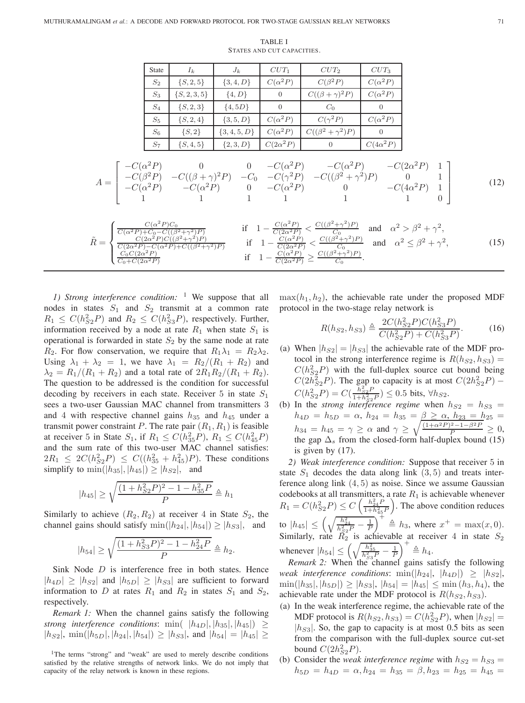TABLE I STATES AND CUT CAPACITIES.

| <b>State</b> | $I_k$            | $J_k$            | $CUT_1$          | $CUT_2$                   | $CUT_3$          |
|--------------|------------------|------------------|------------------|---------------------------|------------------|
| $S_2$        | $\{S, 2, 5\}$    | $\{3, 4, D\}$    | $C(\alpha^2 P)$  | $C(\beta^2 P)$            | $C(\alpha^2 P)$  |
| $S_3$        | $\{S, 2, 3, 5\}$ | $\{4, D\}$       | $\theta$         | $C((\beta + \gamma)^2 P)$ | $C(\alpha^2 P)$  |
| $S_4$        | $\{S, 2, 3\}$    | $\{4, 5D\}$      | $\Omega$         | $C_0$                     | 0                |
| $S_5$        | $\{S, 2, 4\}$    | $\{3, 5, D\}$    | $C(\alpha^2 P)$  | $C(\gamma^2 P)$           | $C(\alpha^2 P)$  |
| $S_6$        | $\{S, 2\}$       | $\{3, 4, 5, D\}$ | $C(\alpha^2 P)$  | $C((\beta^2+\gamma^2)P)$  | $\Omega$         |
| $S_7$        | $\{S, 4, 5\}$    | $\{2,3,D\}$      | $C(2\alpha^2 P)$ | $\Omega$                  | $C(4\alpha^2 P)$ |

$$
A = \begin{bmatrix} -C(\alpha^2 P) & 0 & 0 & -C(\alpha^2 P) & -C(\alpha^2 P) & -C(2\alpha^2 P) & 1\\ -C(\beta^2 P) & -C((\beta + \gamma)^2 P) & -C_0 & -C(\gamma^2 P) & -C((\beta^2 + \gamma^2)P) & 0 & 1\\ -C(\alpha^2 P) & -C(\alpha^2 P) & 0 & -C(\alpha^2 P) & 0 & -C(4\alpha^2 P) & 1\\ 1 & 1 & 1 & 1 & 1 & 1 & 1 \end{bmatrix}
$$
(12)

$$
\tilde{R} = \begin{cases}\n\frac{C(\alpha^2 P)C_0}{C(\alpha^2 P) + C_0 - C((\beta^2 + \gamma^2)P)} & \text{if } 1 - \frac{C(\alpha^2 P)}{C(2\alpha^2 P)} < \frac{C((\beta^2 + \gamma^2)P)}{C_0} \text{ and } \alpha^2 > \beta^2 + \gamma^2, \\
\frac{C(2\alpha^2 P)C((\beta^2 + \gamma^2)P)}{C(2\alpha^2 P) - C(\alpha^2 P) + C((\beta^2 + \gamma^2)P)} & \text{if } 1 - \frac{C(\alpha^2 P)}{C(2\alpha^2 P)} < \frac{C((\beta^2 + \gamma^2)P)}{C_0} \text{ and } \alpha^2 \le \beta^2 + \gamma^2, \\
\frac{C_0 C(2\alpha^2 P)}{C_0 + C(2\alpha^2 P)} & \text{if } 1 - \frac{C(\alpha^2 P)}{C(2\alpha^2 P)} \ge \frac{C((\beta^2 + \gamma^2)P)}{C_0}.\n\end{cases}
$$
\n(15)

*1) Strong interference condition:* <sup>1</sup> We suppose that all nodes in states  $S_1$  and  $S_2$  transmit at a common rate  $R_1 \leq C(h_{S2}^2 P)$  and  $R_2 \leq C(h_{S3}^2 P)$ , respectively. Further, information received by a node at rate  $R_1$  when state  $S_1$  is operational is forwarded in state  $S_2$  by the same node at rate  $R_2$ . For flow conservation, we require that  $R_1 \lambda_1 = R_2 \lambda_2$ . Using  $\lambda_1 + \lambda_2 = 1$ , we have  $\lambda_1 = R_2/(R_1 + R_2)$  and  $\lambda_2 = R_1/(R_1 + R_2)$  and a total rate of  $2R_1R_2/(R_1 + R_2)$ . The question to be addressed is the condition for successful decoding by receivers in each state. Receiver 5 in state  $S_1$ sees a two-user Gaussian MAC channel from transmitters 3 and 4 with respective channel gains  $h_{35}$  and  $h_{45}$  under a transmit power constraint P. The rate pair  $(R_1, R_1)$  is feasible at receiver 5 in State  $S_1$ , if  $R_1 \le C(h_{35}^2 P)$ ,  $R_1 \le C(h_{45}^2 P)$ and the sum rate of this two-user MAC channel satisfies:  $2R_1 \leq 2C(h_{S2}^2 P) \leq C((h_{35}^2 + h_{45}^2)P)$ . These conditions simplify to  $\min(|h_{35}|, |h_{45}|) \geq |h_{52}|$ , and

$$
|h_{45}| \ge \sqrt{\frac{(1 + h_{S2}^2 P)^2 - 1 - h_{35}^2 P}{P}} \triangleq h_1
$$

Similarly to achieve  $(R_2, R_2)$  at receiver 4 in State  $S_2$ , the channel gains should satisfy  $\min(|h_{24}|, |h_{54}|) \geq |h_{S3}|$ , and

$$
|h_{54}| \ge \sqrt{\frac{(1+h_{S3}^2P)^2 - 1 - h_{24}^2P}{P}} \triangleq h_2.
$$

Sink Node  $D$  is interference free in both states. Hence  $|h_{4D}| \geq |h_{52}|$  and  $|h_{5D}| \geq |h_{53}|$  are sufficient to forward information to D at rates  $R_1$  and  $R_2$  in states  $S_1$  and  $S_2$ , respectively.

*Remark 1:* When the channel gains satisfy the following *strong interference conditions*: min(  $|h_{4D}|, |h_{35}|, |h_{45}|) \geq$  $|h_{S2}|$ ,  $\min(|h_{5D}|, |h_{24}|, |h_{54}|) \geq |h_{S3}|$ , and  $|h_{54}| = |h_{45}| \geq$   $\max(h_1, h_2)$ , the achievable rate under the proposed MDF protocol in the two-stage relay network is

$$
R(h_{S2}, h_{S3}) \triangleq \frac{2C(h_{S2}^2 P)C(h_{S3}^2 P)}{C(h_{S2}^2 P) + C(h_{S3}^2 P)}.
$$
 (16)

- (a) When  $|h_{S2}| = |h_{S3}|$  the achievable rate of the MDF protocol in the strong interference regime is  $R(h_{S2}, h_{S3}) =$  $C(h_{S_2}^2 P)$  with the full-duplex source cut bound being  $C(2h_{S2}^2P)$ . The gap to capacity is at most  $C(2h_{S2}^2P)$  –  $C(h_{S2}^{2}P) = C(\frac{h_{S2}^{2}P}{1+h_{S2}^{2}P}) \leq 0.5$  bits,  $\forall h_{S2}$ .
- (b) In the *strong interference regime* when  $h_{S2} = h_{S3}$  $h_{4D} = h_{5D} = \alpha, h_{24} = h_{35} = \beta \ge \alpha, h_{23} = h_{25} =$  $h_{34} = h_{45} = \gamma \ge \alpha$  and  $\gamma \ge \sqrt{\frac{(1+\alpha^2P)^2 - 1 - \beta^2P}{P}} \ge 0$ , the gap  $\Delta_s$  from the closed-form half-duplex bound (15) is given by (17).

*2) Weak interference condition:* Suppose that receiver 5 in state  $S_1$  decodes the data along link  $(3, 5)$  and treats interference along link  $(4, 5)$  as noise. Since we assume Gaussian codebooks at all transmitters, a rate  $R_1$  is achievable whenever  $R_1 = C(h_{S2}^2 P) \le C \left( \frac{h_{24}^2 P}{1 + h_{45}^2 P} \right)$ ) . The above condition reduces to  $|h_{45}| \leq \left(\sqrt{\frac{h_{24}^2}{h_{52}^2 P} - \frac{1}{P}}\right)^4 \triangleq h_3$ , where  $x^+ = \max(x, 0)$ . Similarly, rate  $R_2$  is achievable at receiver 4 in state  $S_2$ whenever  $|h_{54}| \leq \left(\sqrt{\frac{h_{35}^2}{h_{53}^2 P} - \frac{1}{P}}\right)^+ \triangleq h_4.$ 

*Remark 2:* When the channel gains satisfy the following *weak interference conditions*: min( $|h_{24}|, |h_{4D}| \geq |h_{S2}|,$  $\min(|h_{35}|, |h_{5D}|) \ge |h_{53}|, |h_{54}| = |h_{45}| \le \min(h_3, h_4)$ , the achievable rate under the MDF protocol is  $R(h_{S2}, h_{S3})$ .

- (a) In the weak interference regime, the achievable rate of the MDF protocol is  $R(h_{S2}, h_{S3}) = C(h_{S2}^2 P)$ , when  $|h_{S2}| =$  $|h_{S3}|$ . So, the gap to capacity is at most 0.5 bits as seen from the comparison with the full-duplex source cut-set bound  $C(2h_{S2}^2P)$ .
- (b) Consider the *weak interference regime* with  $h_{S2} = h_{S3}$  $h_{5D} = h_{4D} = \alpha, h_{24} = h_{35} = \beta, h_{23} = h_{25} = h_{45} =$

<sup>&</sup>lt;sup>1</sup>The terms "strong" and "weak" are used to merely describe conditions satisfied by the relative strengths of network links. We do not imply that capacity of the relay network is known in these regions.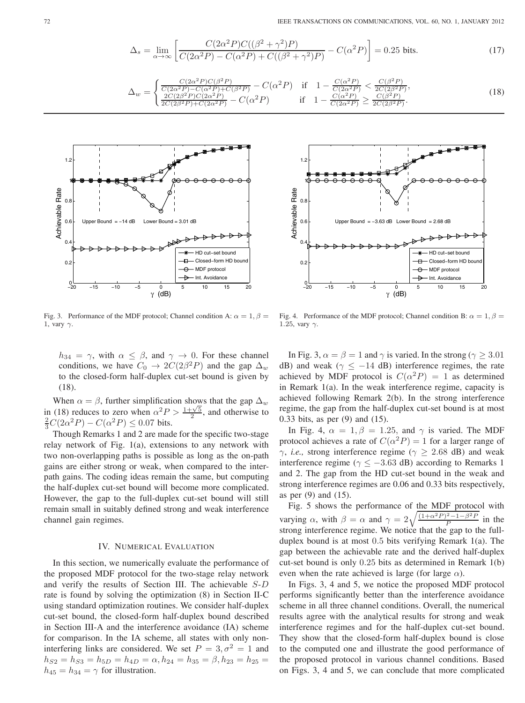$$
\Delta_s = \lim_{\alpha \to \infty} \left[ \frac{C(2\alpha^2 P)C((\beta^2 + \gamma^2)P)}{C(2\alpha^2 P) - C(\alpha^2 P) + C((\beta^2 + \gamma^2)P)} - C(\alpha^2 P) \right] = 0.25 \text{ bits.}
$$
\n(17)

$$
\Delta_w = \begin{cases}\n\frac{C(2\alpha^2 P)C(\beta^2 P)}{C(2\alpha^2 P) - C(\alpha^2 P) + C(\beta^2 P)} - C(\alpha^2 P) & \text{if} \quad 1 - \frac{C(\alpha^2 P)}{C(2\alpha^2 P)} < \frac{C(\beta^2 P)}{2C(2\beta^2 P)}, \\
\frac{2C(2\beta^2 P)C(2\alpha^2 P)}{2C(2\beta^2 P) + C(2\alpha^2 P)} - C(\alpha^2 P) & \text{if} \quad 1 - \frac{C(\alpha^2 P)}{C(2\alpha^2 P)} \ge \frac{C(\beta^2 P)}{2C(2\beta^2 P)}. \n\end{cases} (18)
$$



1.2 1 **Achievable Rate** Achievable Rate  $\Omega$ . 0.6 Upper Bound = −3.63 dB Lower Bound = 2.68 dB  $\Omega$ HD cut−set bound 0.2 Closed−form HD b MDF protocol Int. Avoidance <sup>−</sup><sup>20</sup> <sup>−</sup><sup>15</sup> <sup>−</sup><sup>10</sup> <sup>−</sup><sup>5</sup> <sup>0</sup> <sup>5</sup> <sup>10</sup> <sup>15</sup> <sup>20</sup> <sup>0</sup> γ (dB)

Fig. 3. Performance of the MDF protocol; Channel condition A:  $\alpha = 1, \beta =$ 1, vary  $\gamma$ .

 $h_{34} = \gamma$ , with  $\alpha \leq \beta$ , and  $\gamma \to 0$ . For these channel conditions, we have  $C_0 \rightarrow 2C(2\beta^2 P)$  and the gap  $\Delta_w$ to the closed-form half-duplex cut-set bound is given by (18).

When  $\alpha = \beta$ , further simplification shows that the gap  $\Delta_w$ in (18) reduces to zero when  $\alpha^2 P > \frac{1+\sqrt{5}}{2}$ , and otherwise to  $\frac{2}{3}C(2\alpha^2 P) - C(\alpha^2 P) \le 0.07$  bits.

Though Remarks 1 and 2 are made for the specific two-stage relay network of Fig. 1(a), extensions to any network with two non-overlapping paths is possible as long as the on-path gains are either strong or weak, when compared to the interpath gains. The coding ideas remain the same, but computing the half-duplex cut-set bound will become more complicated. However, the gap to the full-duplex cut-set bound will still remain small in suitably defined strong and weak interference channel gain regimes.

## IV. NUMERICAL EVALUATION

In this section, we numerically evaluate the performance of the proposed MDF protocol for the two-stage relay network and verify the results of Section III. The achievable  $S-D$ rate is found by solving the optimization (8) in Section II-C using standard optimization routines. We consider half-duplex cut-set bound, the closed-form half-duplex bound described in Section III-A and the interference avoidance (IA) scheme for comparison. In the IA scheme, all states with only noninterfering links are considered. We set  $P = 3, \sigma^2 = 1$  and  $h_{S2} = h_{S3} = h_{5D} = h_{4D} = \alpha, h_{24} = h_{35} = \beta, h_{23} = h_{25} = \beta$  $h_{45} = h_{34} = \gamma$  for illustration.

Fig. 4. Performance of the MDF protocol; Channel condition B:  $\alpha = 1, \beta =$ 1.25, vary  $\gamma$ .

In Fig. 3,  $\alpha = \beta = 1$  and  $\gamma$  is varied. In the strong ( $\gamma \geq 3.01$ dB) and weak ( $\gamma$  < -14 dB) interference regimes, the rate achieved by MDF protocol is  $C(\alpha^2 P) = 1$  as determined in Remark 1(a). In the weak interference regime, capacity is achieved following Remark 2(b). In the strong interference regime, the gap from the half-duplex cut-set bound is at most 0.33 bits, as per (9) and (15).

In Fig. 4,  $\alpha = 1, \beta = 1.25$ , and  $\gamma$  is varied. The MDF protocol achieves a rate of  $C(\alpha^2 P)=1$  for a larger range of  $\gamma$ , *i.e.*, strong interference regime ( $\gamma \geq 2.68$  dB) and weak interference regime ( $\gamma \le -3.63$  dB) according to Remarks 1 and 2. The gap from the HD cut-set bound in the weak and strong interference regimes are 0.06 and 0.33 bits respectively, as per (9) and (15).

Fig. 5 shows the performance of the MDF protocol with varying  $\alpha$ , with  $\beta = \alpha$  and  $\gamma = 2\sqrt{\frac{(1+\alpha^2 P)^2 - 1-\beta^2 P}{P}}$  in the strong interference regime. We notice that the gap to the fullduplex bound is at most 0.5 bits verifying Remark 1(a). The gap between the achievable rate and the derived half-duplex cut-set bound is only 0.25 bits as determined in Remark 1(b) even when the rate achieved is large (for large  $\alpha$ ).

In Figs. 3, 4 and 5, we notice the proposed MDF protocol performs significantly better than the interference avoidance scheme in all three channel conditions. Overall, the numerical results agree with the analytical results for strong and weak interference regimes and for the half-duplex cut-set bound. They show that the closed-form half-duplex bound is close to the computed one and illustrate the good performance of the proposed protocol in various channel conditions. Based on Figs. 3, 4 and 5, we can conclude that more complicated